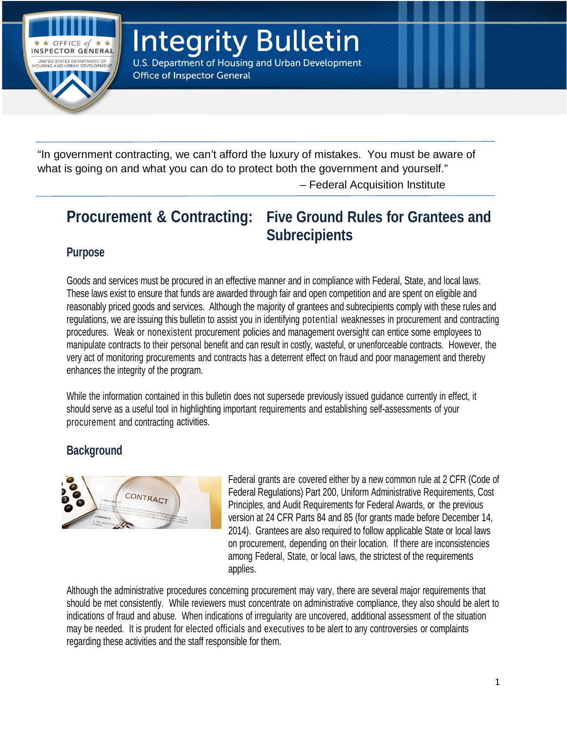

**Integrity Bulletin** U.S. Department of Housing and Urban Development

**Office of Inspector General** 

"In government contracting, we can't afford the luxury of mistakes. You must be aware of what is going on and what you can do to protect both the government and yourself."

– Federal Acquisition Institute

# **Procurement & Contracting: Five Ground Rules for Grantees and Subrecipients**

# **Purpose**

Goods and services must be procured in an effective manner and in compliance with Federal, State, and local laws. These laws exist to ensure that funds are awarded through fair and open competition and are spent on eligible and reasonably priced goods and services. Although the majority of grantees and subrecipients comply with these rules and regulations, we are issuing this bulletin to assist you in identifying potential weaknesses in procurement and contracting procedures. Weak or nonexistent procurement policies and management oversight can entice some employees to manipulate contracts to their personal benefit and can result in costly, wasteful, or unenforceable contracts. However, the very act of monitoring procurements and contracts has a deterrent effect on fraud and poor management and thereby enhances the integrity of the program.

While the information contained in this bulletin does not supersede previously issued guidance currently in effect, it should serve as a useful tool in highlighting important requirements and establishing self-assessments of your procurement and contracting activities.

# **Background**



Federal grants are covered either by a new common rule at 2 CFR (Code of Federal Regulations) Part 200, Uniform Administrative Requirements, Cost Principles, and Audit Requirements for Federal Awards, or the previous version at 24 CFR Parts 84 and 85 (for grants made before December 14, 2014). Grantees are also required to follow applicable State or local laws on procurement, depending on their location. If there are inconsistencies among Federal, State, or local laws, the strictest of the requirements applies.

Although the administrative procedures concerning procurement may vary, there are several major requirements that should be met consistently. While reviewers must concentrate on administrative compliance, they also should be alert to indications of fraud and abuse. When indications of irregularity are uncovered, additional assessment of the situation may be needed. It is prudent for elected officials and executives to be alert to any controversies or complaints regarding these activities and the staff responsible for them.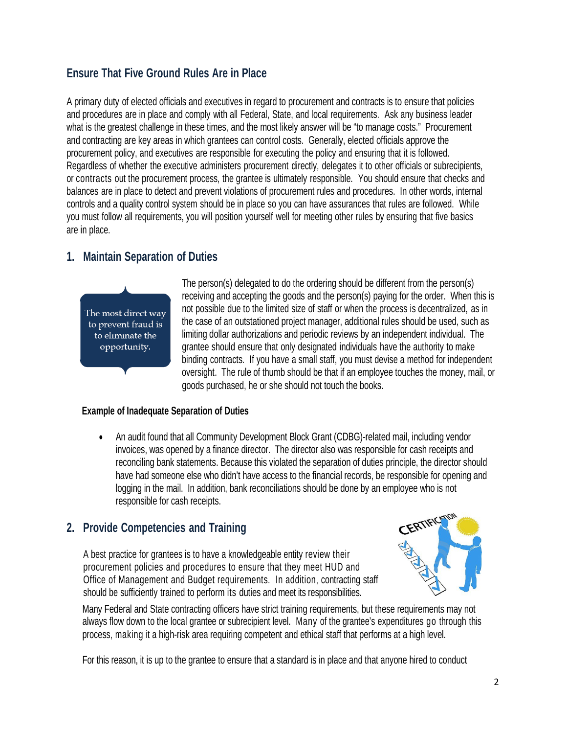# **Ensure That Five Ground Rules Are in Place**

A primary duty of elected officials and executives in regard to procurement and contracts is to ensure that policies and procedures are in place and comply with all Federal, State, and local requirements. Ask any business leader what is the greatest challenge in these times, and the most likely answer will be "to manage costs." Procurement and contracting are key areas in which grantees can control costs. Generally, elected officials approve the procurement policy, and executives are responsible for executing the policy and ensuring that it is followed. Regardless of whether the executive administers procurement directly, delegates it to other officials or subrecipients, or contracts out the procurement process, the grantee is ultimately responsible. You should ensure that checks and balances are in place to detect and prevent violations of procurement rules and procedures. In other words, internal controls and a quality control system should be in place so you can have assurances that rules are followed. While you must follow all requirements, you will position yourself well for meeting other rules by ensuring that five basics are in place.

# **1. Maintain Separation of Duties**



The person(s) delegated to do the ordering should be different from the person(s) receiving and accepting the goods and the person(s) paying for the order. When this is not possible due to the limited size of staff or when the process is decentralized, as in the case of an outstationed project manager, additional rules should be used, such as limiting dollar authorizations and periodic reviews by an independent individual. The grantee should ensure that only designated individuals have the authority to make binding contracts. If you have a small staff, you must devise a method for independent oversight. The rule of thumb should be that if an employee touches the money, mail, or goods purchased, he or she should not touch the books.

## **Example of Inadequate Separation of Duties**

• An audit found that all Community Development Block Grant (CDBG)-related mail, including vendor invoices, was opened by a finance director. The director also was responsible for cash receipts and reconciling bank statements. Because this violated the separation of duties principle, the director should have had someone else who didn't have access to the financial records, be responsible for opening and logging in the mail. In addition, bank reconciliations should be done by an employee who is not responsible for cash receipts.

# **2. Provide Competencies and Training**

A best practice for grantees is to have a knowledgeable entity review their procurement policies and procedures to ensure that they meet HUD and Office of Management and Budget requirements. In addition, contracting staff should be sufficiently trained to perform its duties and meet its responsibilities.



Many Federal and State contracting officers have strict training requirements, but these requirements may not always flow down to the local grantee or subrecipient level. Many of the grantee's expenditures go through this process, making it a high-risk area requiring competent and ethical staff that performs at a high level.

For this reason, it is up to the grantee to ensure that a standard is in place and that anyone hired to conduct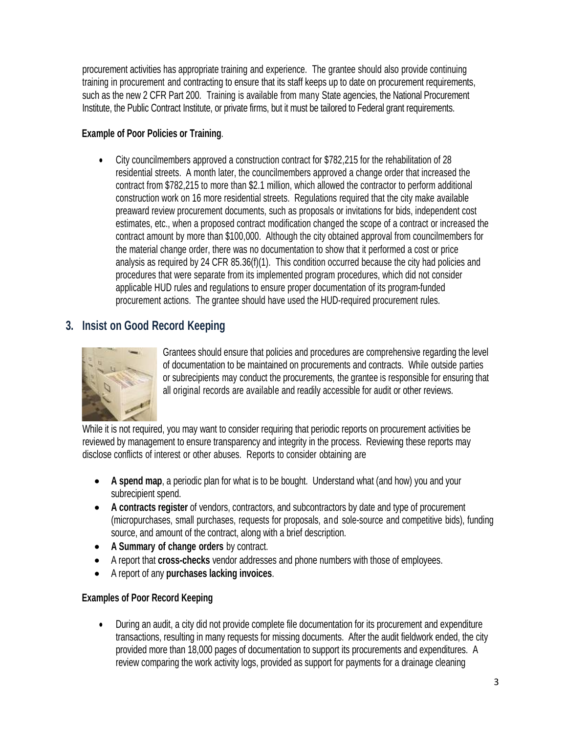procurement activities has appropriate training and experience. The grantee should also provide continuing training in procurement and contracting to ensure that its staff keeps up to date on procurement requirements, such as the new 2 CFR Part 200. Training is available from many State agencies, the National Procurement Institute, the Public Contract Institute, or private firms, but it must be tailored to Federal grant requirements.

### **Example of Poor Policies or Training**.

• City councilmembers approved a construction contract for \$782,215 for the rehabilitation of 28 residential streets. A month later, the councilmembers approved a change order that increased the contract from \$782,215 to more than \$2.1 million, which allowed the contractor to perform additional construction work on 16 more residential streets. Regulations required that the city make available preaward review procurement documents, such as proposals or invitations for bids, independent cost estimates, etc., when a proposed contract modification changed the scope of a contract or increased the contract amount by more than \$100,000. Although the city obtained approval from councilmembers for the material change order, there was no documentation to show that it performed a cost or price analysis as required by 24 CFR 85.36(f)(1). This condition occurred because the city had policies and procedures that were separate from its implemented program procedures, which did not consider applicable HUD rules and regulations to ensure proper documentation of its program-funded procurement actions. The grantee should have used the HUD-required procurement rules.

## **3. Insist on Good Record Keeping**



Grantees should ensure that policies and procedures are comprehensive regarding the level of documentation to be maintained on procurements and contracts. While outside parties or subrecipients may conduct the procurements, the grantee is responsible for ensuring that all original records are available and readily accessible for audit or other reviews.

While it is not required, you may want to consider requiring that periodic reports on procurement activities be reviewed by management to ensure transparency and integrity in the process. Reviewing these reports may disclose conflicts of interest or other abuses. Reports to consider obtaining are

- **A spend map**, a periodic plan for what is to be bought. Understand what (and how) you and your subrecipient spend.
- **A contracts register** of vendors, contractors, and subcontractors by date and type of procurement (micropurchases, small purchases, requests for proposals, and sole-source and competitive bids), funding source, and amount of the contract, along with a brief description.
- **A Summary of change orders** by contract.
- A report that **cross-checks** vendor addresses and phone numbers with those of employees.
- A report of any **purchases lacking invoices**.

#### **Examples of Poor Record Keeping**

• During an audit, a city did not provide complete file documentation for its procurement and expenditure transactions, resulting in many requests for missing documents. After the audit fieldwork ended, the city provided more than 18,000 pages of documentation to support its procurements and expenditures. A review comparing the work activity logs, provided as support for payments for a drainage cleaning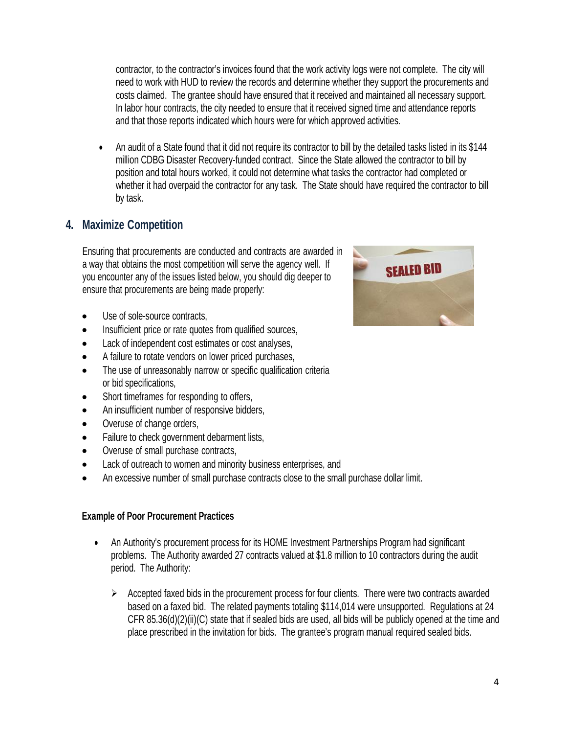contractor, to the contractor's invoices found that the work activity logs were not complete. The city will need to work with HUD to review the records and determine whether they support the procurements and costs claimed. The grantee should have ensured that it received and maintained all necessary support. In labor hour contracts, the city needed to ensure that it received signed time and attendance reports and that those reports indicated which hours were for which approved activities.

• An audit of a State found that it did not require its contractor to bill by the detailed tasks listed in its \$144 million CDBG Disaster Recovery-funded contract. Since the State allowed the contractor to bill by position and total hours worked, it could not determine what tasks the contractor had completed or whether it had overpaid the contractor for any task. The State should have required the contractor to bill by task.

# **4. Maximize Competition**

Ensuring that procurements are conducted and contracts are awarded in a way that obtains the most competition will serve the agency well. If you encounter any of the issues listed below, you should dig deeper to ensure that procurements are being made properly:

- Use of sole-source contracts,
- Insufficient price or rate quotes from qualified sources,
- Lack of independent cost estimates or cost analyses,
- A failure to rotate vendors on lower priced purchases,
- The use of unreasonably narrow or specific qualification criteria or bid specifications,
- Short timeframes for responding to offers,
- An insufficient number of responsive bidders,
- Overuse of change orders,
- Failure to check government debarment lists,
- Overuse of small purchase contracts,
- Lack of outreach to women and minority business enterprises, and
- An excessive number of small purchase contracts close to the small purchase dollar limit.

#### **Example of Poor Procurement Practices**

- An Authority's procurement process for its HOME Investment Partnerships Program had significant problems. The Authority awarded 27 contracts valued at \$1.8 million to 10 contractors during the audit period. The Authority:
	- $\triangleright$  Accepted faxed bids in the procurement process for four clients. There were two contracts awarded based on a faxed bid. The related payments totaling \$114,014 were unsupported. Regulations at 24 CFR 85.36(d)(2)(ii)(C) state that if sealed bids are used, all bids will be publicly opened at the time and place prescribed in the invitation for bids. The grantee's program manual required sealed bids.

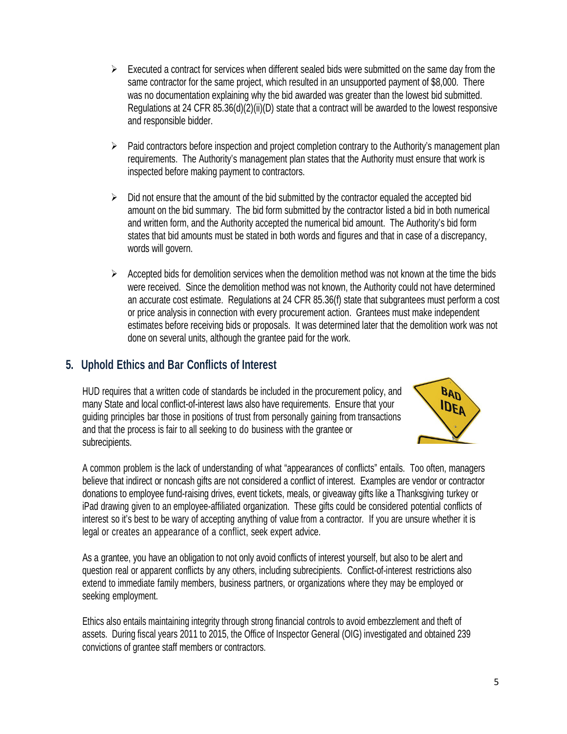- $\triangleright$  Executed a contract for services when different sealed bids were submitted on the same day from the same contractor for the same project, which resulted in an unsupported payment of \$8,000. There was no documentation explaining why the bid awarded was greater than the lowest bid submitted. Regulations at 24 CFR 85.36(d)(2)(ii)(D) state that a contract will be awarded to the lowest responsive and responsible bidder.
- $\triangleright$  Paid contractors before inspection and project completion contrary to the Authority's management plan requirements. The Authority's management plan states that the Authority must ensure that work is inspected before making payment to contractors.
- $\triangleright$  Did not ensure that the amount of the bid submitted by the contractor equaled the accepted bid amount on the bid summary. The bid form submitted by the contractor listed a bid in both numerical and written form, and the Authority accepted the numerical bid amount. The Authority's bid form states that bid amounts must be stated in both words and figures and that in case of a discrepancy, words will govern.
- $\triangleright$  Accepted bids for demolition services when the demolition method was not known at the time the bids were received. Since the demolition method was not known, the Authority could not have determined an accurate cost estimate. Regulations at 24 CFR 85.36(f) state that subgrantees must perform a cost or price analysis in connection with every procurement action. Grantees must make independent estimates before receiving bids or proposals. It was determined later that the demolition work was not done on several units, although the grantee paid for the work.

## **5. Uphold Ethics and Bar Conflicts of Interest**

HUD requires that a written code of standards be included in the procurement policy, and many State and local conflict-of-interest laws also have requirements. Ensure that your guiding principles bar those in positions of trust from personally gaining from transactions and that the process is fair to all seeking to do business with the grantee or subrecipients.



A common problem is the lack of understanding of what "appearances of conflicts" entails. Too often, managers believe that indirect or noncash gifts are not considered a conflict of interest. Examples are vendor or contractor donations to employee fund-raising drives, event tickets, meals, or giveaway gifts like a Thanksgiving turkey or iPad drawing given to an employee-affiliated organization. These gifts could be considered potential conflicts of interest so it's best to be wary of accepting anything of value from a contractor. If you are unsure whether it is legal or creates an appearance of a conflict, seek expert advice.

As a grantee, you have an obligation to not only avoid conflicts of interest yourself, but also to be alert and question real or apparent conflicts by any others, including subrecipients. Conflict-of-interest restrictions also extend to immediate family members, business partners, or organizations where they may be employed or seeking employment.

Ethics also entails maintaining integrity through strong financial controls to avoid embezzlement and theft of assets. During fiscal years 2011 to 2015, the Office of Inspector General (OIG) investigated and obtained 239 convictions of grantee staff members or contractors.